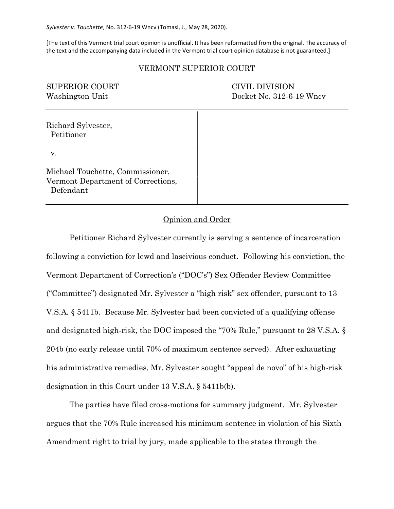*Sylvester v. Touchette*, No. 312-6-19 Wncv (Tomasi, J., May 28, 2020).

[The text of this Vermont trial court opinion is unofficial. It has been reformatted from the original. The accuracy of the text and the accompanying data included in the Vermont trial court opinion database is not guaranteed.]

### VERMONT SUPERIOR COURT

| <b>SUPERIOR COURT</b><br>Washington Unit                                            | CIVIL DIVISION<br>Docket No. 312-6-19 Wncv |
|-------------------------------------------------------------------------------------|--------------------------------------------|
| Richard Sylvester,<br>Petitioner                                                    |                                            |
| v.                                                                                  |                                            |
| Michael Touchette, Commissioner,<br>Vermont Department of Corrections,<br>Defendant |                                            |

### Opinion and Order

Petitioner Richard Sylvester currently is serving a sentence of incarceration following a conviction for lewd and lascivious conduct. Following his conviction, the Vermont Department of Correction's ("DOC's") Sex Offender Review Committee ("Committee") designated Mr. Sylvester a "high risk" sex offender, pursuant to 13 V.S.A. § 5411b. Because Mr. Sylvester had been convicted of a qualifying offense and designated high-risk, the DOC imposed the "70% Rule," pursuant to 28 V.S.A. § 204b (no early release until 70% of maximum sentence served). After exhausting his administrative remedies, Mr. Sylvester sought "appeal de novo" of his high-risk designation in this Court under 13 V.S.A. § 5411b(b).

The parties have filed cross-motions for summary judgment. Mr. Sylvester argues that the 70% Rule increased his minimum sentence in violation of his Sixth Amendment right to trial by jury, made applicable to the states through the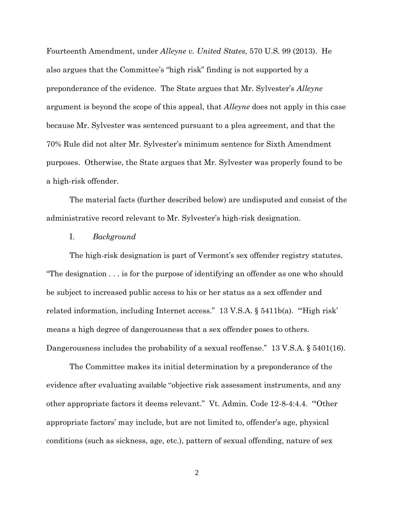Fourteenth Amendment, under *Alleyne v. United States*, 570 U.S. 99 (2013). He also argues that the Committee's "high risk" finding is not supported by a preponderance of the evidence. The State argues that Mr. Sylvester's *Alleyne* argument is beyond the scope of this appeal, that *Alleyne* does not apply in this case because Mr. Sylvester was sentenced pursuant to a plea agreement, and that the 70% Rule did not alter Mr. Sylvester's minimum sentence for Sixth Amendment purposes. Otherwise, the State argues that Mr. Sylvester was properly found to be a high-risk offender.

The material facts (further described below) are undisputed and consist of the administrative record relevant to Mr. Sylvester's high-risk designation.

## I. *Background*

The high-risk designation is part of Vermont's sex offender registry statutes. "The designation . . . is for the purpose of identifying an offender as one who should be subject to increased public access to his or her status as a sex offender and related information, including Internet access." 13 V.S.A. § 5411b(a). "High risk' means a high degree of dangerousness that a sex offender poses to others. Dangerousness includes the probability of a sexual reoffense." 13 V.S.A. § 5401(16).

The Committee makes its initial determination by a preponderance of the evidence after evaluating available "objective risk assessment instruments, and any other appropriate factors it deems relevant." Vt. Admin. Code 12-8-4:4.4. "'Other appropriate factors' may include, but are not limited to, offender's age, physical conditions (such as sickness, age, etc.), pattern of sexual offending, nature of sex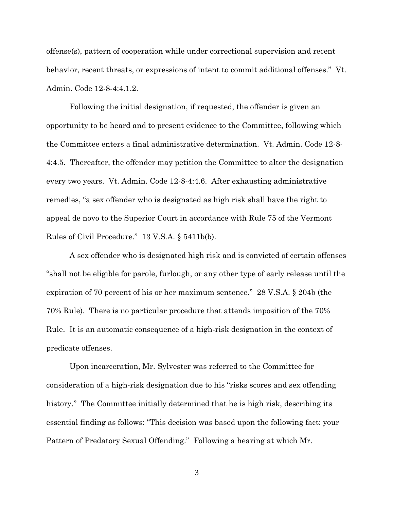offense(s), pattern of cooperation while under correctional supervision and recent behavior, recent threats, or expressions of intent to commit additional offenses." Vt. Admin. Code 12-8-4:4.1.2.

Following the initial designation, if requested, the offender is given an opportunity to be heard and to present evidence to the Committee, following which the Committee enters a final administrative determination. Vt. Admin. Code 12-8- 4:4.5. Thereafter, the offender may petition the Committee to alter the designation every two years. Vt. Admin. Code 12-8-4:4.6. After exhausting administrative remedies, "a sex offender who is designated as high risk shall have the right to appeal de novo to the Superior Court in accordance with Rule 75 of the Vermont Rules of Civil Procedure." 13 V.S.A. § 5411b(b).

A sex offender who is designated high risk and is convicted of certain offenses "shall not be eligible for parole, furlough, or any other type of early release until the expiration of 70 percent of his or her maximum sentence." 28 V.S.A. § 204b (the 70% Rule). There is no particular procedure that attends imposition of the 70% Rule. It is an automatic consequence of a high-risk designation in the context of predicate offenses.

Upon incarceration, Mr. Sylvester was referred to the Committee for consideration of a high-risk designation due to his "risks scores and sex offending history." The Committee initially determined that he is high risk, describing its essential finding as follows: "This decision was based upon the following fact: your Pattern of Predatory Sexual Offending." Following a hearing at which Mr.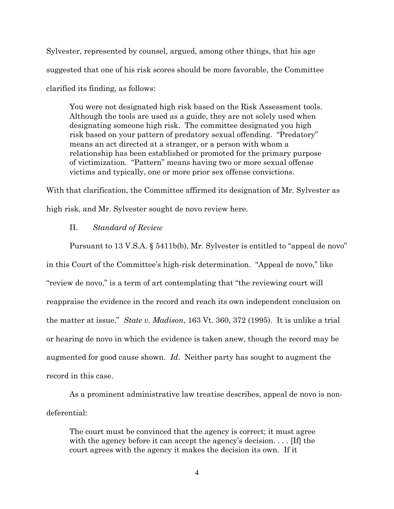Sylvester, represented by counsel, argued, among other things, that his age suggested that one of his risk scores should be more favorable, the Committee clarified its finding, as follows:

You were not designated high risk based on the Risk Assessment tools. Although the tools are used as a guide, they are not solely used when designating someone high risk. The committee designated you high risk based on your pattern of predatory sexual offending. "Predatory" means an act directed at a stranger, or a person with whom a relationship has been established or promoted for the primary purpose of victimization. "Pattern" means having two or more sexual offense victims and typically, one or more prior sex offense convictions.

With that clarification, the Committee affirmed its designation of Mr. Sylvester as high risk, and Mr. Sylvester sought de novo review here.

### II. *Standard of Review*

Pursuant to 13 V.S.A. § 5411b(b), Mr. Sylvester is entitled to "appeal de novo" in this Court of the Committee's high-risk determination. "Appeal de novo," like "review de novo," is a term of art contemplating that "the reviewing court will reappraise the evidence in the record and reach its own independent conclusion on the matter at issue." *State v. Madison*, 163 Vt. 360, 372 (1995). It is unlike a trial or hearing de novo in which the evidence is taken anew, though the record may be augmented for good cause shown. *Id*. Neither party has sought to augment the record in this case.

As a prominent administrative law treatise describes, appeal de novo is nondeferential:

The court must be convinced that the agency is correct; it must agree with the agency before it can accept the agency's decision.... [If] the court agrees with the agency it makes the decision its own. If it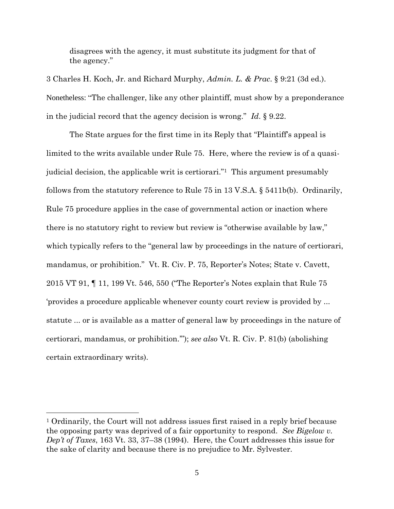disagrees with the agency, it must substitute its judgment for that of the agency."

3 Charles H. Koch, Jr. and Richard Murphy, *Admin. L. & Prac*. § 9:21 (3d ed.). Nonetheless: "The challenger, like any other plaintiff, must show by a preponderance in the judicial record that the agency decision is wrong." *Id*. § 9.22.

The State argues for the first time in its Reply that "Plaintiff's appeal is limited to the writs available under Rule 75. Here, where the review is of a quasijudicial decision, the applicable writ is certiorari."1 This argument presumably follows from the statutory reference to Rule 75 in 13 V.S.A. § 5411b(b). Ordinarily, Rule 75 procedure applies in the case of governmental action or inaction where there is no statutory right to review but review is "otherwise available by law," which typically refers to the "general law by proceedings in the nature of certiorari, mandamus, or prohibition." Vt. R. Civ. P. 75, Reporter's Notes; State v. Cavett, 2015 VT 91, ¶ 11, 199 Vt. 546, 550 ("The Reporter's Notes explain that Rule 75 'provides a procedure applicable whenever county court review is provided by ... statute ... or is available as a matter of general law by proceedings in the nature of certiorari, mandamus, or prohibition.'"); *see also* Vt. R. Civ. P. 81(b) (abolishing certain extraordinary writs).

<sup>1</sup> Ordinarily, the Court will not address issues first raised in a reply brief because the opposing party was deprived of a fair opportunity to respond. *See Bigelow v. Dep't of Taxes*, 163 Vt. 33, 37–38 (1994). Here, the Court addresses this issue for the sake of clarity and because there is no prejudice to Mr. Sylvester.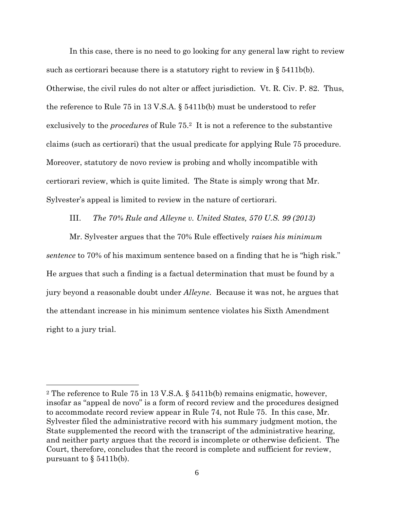In this case, there is no need to go looking for any general law right to review such as certiorari because there is a statutory right to review in  $\S$  5411b(b). Otherwise, the civil rules do not alter or affect jurisdiction. Vt. R. Civ. P. 82. Thus, the reference to Rule 75 in 13 V.S.A. § 5411b(b) must be understood to refer exclusively to the *procedures* of Rule 75.2 It is not a reference to the substantive claims (such as certiorari) that the usual predicate for applying Rule 75 procedure. Moreover, statutory de novo review is probing and wholly incompatible with certiorari review, which is quite limited. The State is simply wrong that Mr. Sylvester's appeal is limited to review in the nature of certiorari.

#### III. *The 70% Rule and Alleyne v. United States, 570 U.S. 99 (2013)*

Mr. Sylvester argues that the 70% Rule effectively *raises his minimum sentence* to 70% of his maximum sentence based on a finding that he is "high risk." He argues that such a finding is a factual determination that must be found by a jury beyond a reasonable doubt under *Alleyne*. Because it was not, he argues that the attendant increase in his minimum sentence violates his Sixth Amendment right to a jury trial.

<sup>2</sup> The reference to Rule 75 in 13 V.S.A. § 5411b(b) remains enigmatic, however, insofar as "appeal de novo" is a form of record review and the procedures designed to accommodate record review appear in Rule 74, not Rule 75. In this case, Mr. Sylvester filed the administrative record with his summary judgment motion, the State supplemented the record with the transcript of the administrative hearing, and neither party argues that the record is incomplete or otherwise deficient. The Court, therefore, concludes that the record is complete and sufficient for review, pursuant to  $\S$  5411b(b).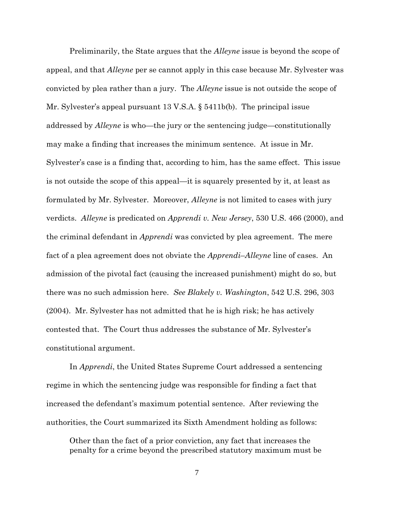Preliminarily, the State argues that the *Alleyne* issue is beyond the scope of appeal, and that *Alleyne* per se cannot apply in this case because Mr. Sylvester was convicted by plea rather than a jury. The *Alleyne* issue is not outside the scope of Mr. Sylvester's appeal pursuant 13 V.S.A. § 5411b(b). The principal issue addressed by *Alleyne* is who—the jury or the sentencing judge—constitutionally may make a finding that increases the minimum sentence. At issue in Mr. Sylvester's case is a finding that, according to him, has the same effect. This issue is not outside the scope of this appeal—it is squarely presented by it, at least as formulated by Mr. Sylvester. Moreover, *Alleyne* is not limited to cases with jury verdicts. *Alleyne* is predicated on *Apprendi v. New Jersey*, 530 U.S. 466 (2000), and the criminal defendant in *Apprendi* was convicted by plea agreement. The mere fact of a plea agreement does not obviate the *Apprendi*–*Alleyne* line of cases. An admission of the pivotal fact (causing the increased punishment) might do so, but there was no such admission here. *See Blakely v. Washington*, 542 U.S. 296, 303 (2004). Mr. Sylvester has not admitted that he is high risk; he has actively contested that. The Court thus addresses the substance of Mr. Sylvester's constitutional argument.

In *Apprendi*, the United States Supreme Court addressed a sentencing regime in which the sentencing judge was responsible for finding a fact that increased the defendant's maximum potential sentence. After reviewing the authorities, the Court summarized its Sixth Amendment holding as follows:

Other than the fact of a prior conviction, any fact that increases the penalty for a crime beyond the prescribed statutory maximum must be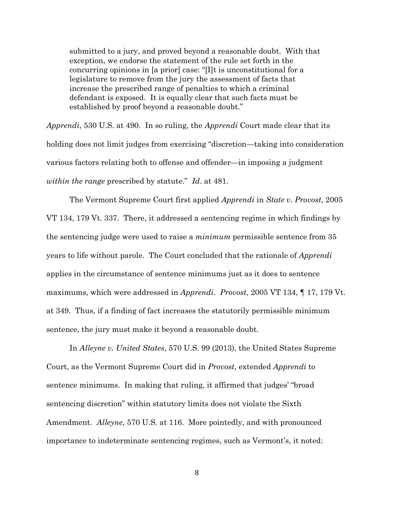submitted to a jury, and proved beyond a reasonable doubt. With that exception, we endorse the statement of the rule set forth in the concurring opinions in [a prior] case: "[I]t is unconstitutional for a legislature to remove from the jury the assessment of facts that increase the prescribed range of penalties to which a criminal defendant is exposed. It is equally clear that such facts must be established by proof beyond a reasonable doubt."

*Apprendi*, 530 U.S. at 490. In so ruling, the *Apprendi* Court made clear that its holding does not limit judges from exercising "discretion—taking into consideration various factors relating both to offense and offender—in imposing a judgment *within the range* prescribed by statute." *Id*. at 481.

The Vermont Supreme Court first applied *Apprendi* in *State v. Provost*, 2005 VT 134, 179 Vt. 337. There, it addressed a sentencing regime in which findings by the sentencing judge were used to raise a *minimum* permissible sentence from 35 years to life without parole. The Court concluded that the rationale of *Apprendi* applies in the circumstance of sentence minimums just as it does to sentence maximums, which were addressed in *Apprendi*. *Provost*, 2005 VT 134, ¶ 17, 179 Vt. at 349. Thus, if a finding of fact increases the statutorily permissible minimum sentence, the jury must make it beyond a reasonable doubt.

In *Alleyne v. United States*, 570 U.S. 99 (2013), the United States Supreme Court, as the Vermont Supreme Court did in *Provost*, extended *Apprendi* to sentence minimums. In making that ruling, it affirmed that judges' "broad sentencing discretion" within statutory limits does not violate the Sixth Amendment. *Alleyne*, 570 U.S. at 116. More pointedly, and with pronounced importance to indeterminate sentencing regimes, such as Vermont's, it noted: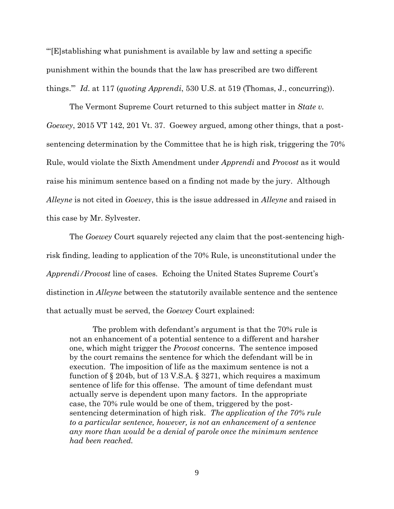"'[E]stablishing what punishment is available by law and setting a specific punishment within the bounds that the law has prescribed are two different things.'" *Id*. at 117 (*quoting Apprendi*, 530 U.S. at 519 (Thomas, J., concurring)).

The Vermont Supreme Court returned to this subject matter in *State v. Goewey*, 2015 VT 142, 201 Vt. 37. Goewey argued, among other things, that a postsentencing determination by the Committee that he is high risk, triggering the 70% Rule, would violate the Sixth Amendment under *Apprendi* and *Provost* as it would raise his minimum sentence based on a finding not made by the jury. Although *Alleyne* is not cited in *Goewey*, this is the issue addressed in *Alleyne* and raised in this case by Mr. Sylvester.

The *Goewey* Court squarely rejected any claim that the post-sentencing highrisk finding, leading to application of the 70% Rule, is unconstitutional under the *Apprendi/Provost* line of cases. Echoing the United States Supreme Court's distinction in *Alleyne* between the statutorily available sentence and the sentence that actually must be served, the *Goewey* Court explained:

The problem with defendant's argument is that the 70% rule is not an enhancement of a potential sentence to a different and harsher one, which might trigger the *Provost* concerns. The sentence imposed by the court remains the sentence for which the defendant will be in execution. The imposition of life as the maximum sentence is not a function of § 204b, but of 13 V.S.A. § 3271, which requires a maximum sentence of life for this offense. The amount of time defendant must actually serve is dependent upon many factors. In the appropriate case, the 70% rule would be one of them, triggered by the postsentencing determination of high risk. *The application of the 70% rule to a particular sentence, however, is not an enhancement of a sentence any more than would be a denial of parole once the minimum sentence had been reached.*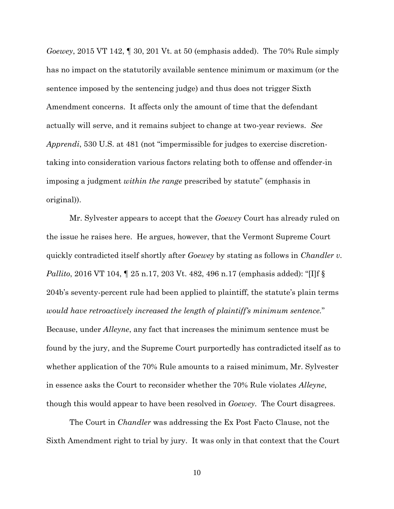*Goewey*, 2015 VT 142, ¶ 30, 201 Vt. at 50 (emphasis added). The 70% Rule simply has no impact on the statutorily available sentence minimum or maximum (or the sentence imposed by the sentencing judge) and thus does not trigger Sixth Amendment concerns. It affects only the amount of time that the defendant actually will serve, and it remains subject to change at two-year reviews. *See Apprendi*, 530 U.S. at 481 (not "impermissible for judges to exercise discretiontaking into consideration various factors relating both to offense and offender-in imposing a judgment *within the range* prescribed by statute" (emphasis in original)).

Mr. Sylvester appears to accept that the *Goewey* Court has already ruled on the issue he raises here. He argues, however, that the Vermont Supreme Court quickly contradicted itself shortly after *Goewey* by stating as follows in *Chandler v. Pallito*, 2016 VT 104, ¶ 25 n.17, 203 Vt. 482, 496 n.17 (emphasis added): "[I]f § 204b's seventy-percent rule had been applied to plaintiff, the statute's plain terms *would have retroactively increased the length of plaintiff's minimum sentence.*" Because, under *Alleyne*, any fact that increases the minimum sentence must be found by the jury, and the Supreme Court purportedly has contradicted itself as to whether application of the 70% Rule amounts to a raised minimum, Mr. Sylvester in essence asks the Court to reconsider whether the 70% Rule violates *Alleyne*, though this would appear to have been resolved in *Goewey*. The Court disagrees.

The Court in *Chandler* was addressing the Ex Post Facto Clause, not the Sixth Amendment right to trial by jury. It was only in that context that the Court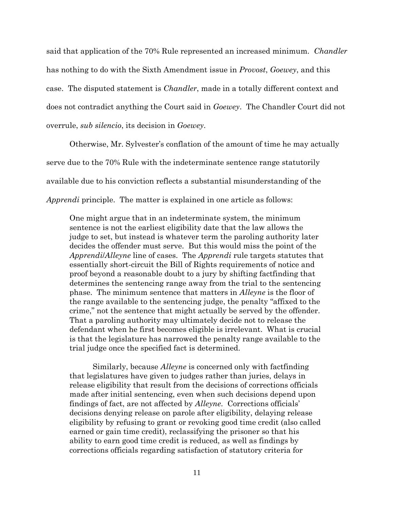said that application of the 70% Rule represented an increased minimum. *Chandler* has nothing to do with the Sixth Amendment issue in *Provost*, *Goewey*, and this case. The disputed statement is *Chandler*, made in a totally different context and does not contradict anything the Court said in *Goewey*. The Chandler Court did not overrule, *sub silencio*, its decision in *Goewey*.

Otherwise, Mr. Sylvester's conflation of the amount of time he may actually serve due to the 70% Rule with the indeterminate sentence range statutorily available due to his conviction reflects a substantial misunderstanding of the *Apprendi* principle. The matter is explained in one article as follows:

One might argue that in an indeterminate system, the minimum sentence is not the earliest eligibility date that the law allows the judge to set, but instead is whatever term the paroling authority later decides the offender must serve. But this would miss the point of the *Apprendi*/*Alleyne* line of cases. The *Apprendi* rule targets statutes that essentially short-circuit the Bill of Rights requirements of notice and proof beyond a reasonable doubt to a jury by shifting factfinding that determines the sentencing range away from the trial to the sentencing phase. The minimum sentence that matters in *Alleyne* is the floor of the range available to the sentencing judge, the penalty "affixed to the crime," not the sentence that might actually be served by the offender. That a paroling authority may ultimately decide not to release the defendant when he first becomes eligible is irrelevant. What is crucial is that the legislature has narrowed the penalty range available to the trial judge once the specified fact is determined.

Similarly, because *Alleyne* is concerned only with factfinding that legislatures have given to judges rather than juries, delays in release eligibility that result from the decisions of corrections officials made after initial sentencing, even when such decisions depend upon findings of fact, are not affected by *Alleyne*. Corrections officials' decisions denying release on parole after eligibility, delaying release eligibility by refusing to grant or revoking good time credit (also called earned or gain time credit), reclassifying the prisoner so that his ability to earn good time credit is reduced, as well as findings by corrections officials regarding satisfaction of statutory criteria for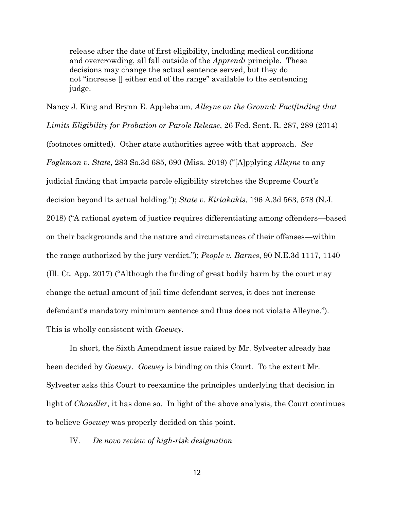release after the date of first eligibility, including medical conditions and overcrowding, all fall outside of the *Apprendi* principle. These decisions may change the actual sentence served, but they do not "increase [] either end of the range" available to the sentencing judge.

Nancy J. King and Brynn E. Applebaum, *Alleyne on the Ground: Factfinding that Limits Eligibility for Probation or Parole Release*, 26 Fed. Sent. R. 287, 289 (2014) (footnotes omitted). Other state authorities agree with that approach. *See Fogleman v. State*, 283 So.3d 685, 690 (Miss. 2019) ("[A]pplying *Alleyne* to any judicial finding that impacts parole eligibility stretches the Supreme Court's decision beyond its actual holding."); *State v. Kiriakakis*, 196 A.3d 563, 578 (N.J. 2018) ("A rational system of justice requires differentiating among offenders—based on their backgrounds and the nature and circumstances of their offenses—within the range authorized by the jury verdict."); *People v. Barnes*, 90 N.E.3d 1117, 1140 (Ill. Ct. App. 2017) ("Although the finding of great bodily harm by the court may change the actual amount of jail time defendant serves, it does not increase defendant's mandatory minimum sentence and thus does not violate Alleyne."). This is wholly consistent with *Goewey*.

In short, the Sixth Amendment issue raised by Mr. Sylvester already has been decided by *Goewey*. *Goewey* is binding on this Court. To the extent Mr. Sylvester asks this Court to reexamine the principles underlying that decision in light of *Chandler*, it has done so. In light of the above analysis, the Court continues to believe *Goewey* was properly decided on this point.

IV. *De novo review of high-risk designation*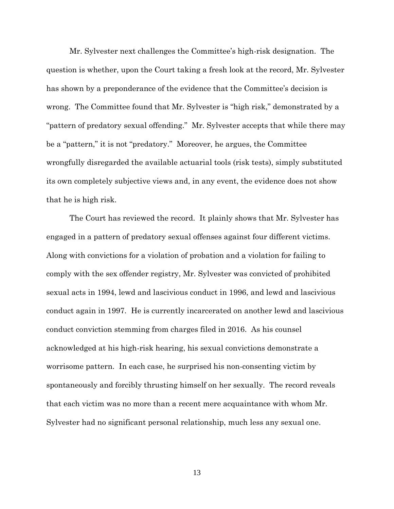Mr. Sylvester next challenges the Committee's high-risk designation. The question is whether, upon the Court taking a fresh look at the record, Mr. Sylvester has shown by a preponderance of the evidence that the Committee's decision is wrong. The Committee found that Mr. Sylvester is "high risk," demonstrated by a "pattern of predatory sexual offending." Mr. Sylvester accepts that while there may be a "pattern," it is not "predatory." Moreover, he argues, the Committee wrongfully disregarded the available actuarial tools (risk tests), simply substituted its own completely subjective views and, in any event, the evidence does not show that he is high risk.

The Court has reviewed the record. It plainly shows that Mr. Sylvester has engaged in a pattern of predatory sexual offenses against four different victims. Along with convictions for a violation of probation and a violation for failing to comply with the sex offender registry, Mr. Sylvester was convicted of prohibited sexual acts in 1994, lewd and lascivious conduct in 1996, and lewd and lascivious conduct again in 1997. He is currently incarcerated on another lewd and lascivious conduct conviction stemming from charges filed in 2016. As his counsel acknowledged at his high-risk hearing, his sexual convictions demonstrate a worrisome pattern. In each case, he surprised his non-consenting victim by spontaneously and forcibly thrusting himself on her sexually. The record reveals that each victim was no more than a recent mere acquaintance with whom Mr. Sylvester had no significant personal relationship, much less any sexual one.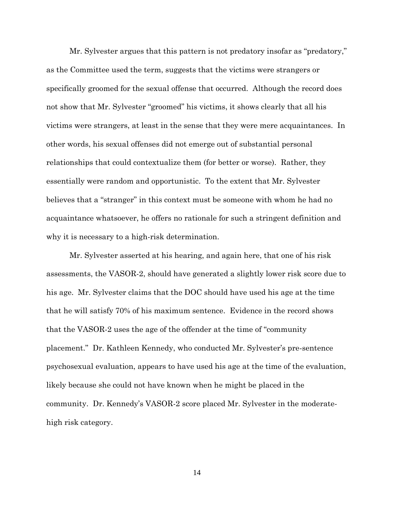Mr. Sylvester argues that this pattern is not predatory insofar as "predatory," as the Committee used the term, suggests that the victims were strangers or specifically groomed for the sexual offense that occurred. Although the record does not show that Mr. Sylvester "groomed" his victims, it shows clearly that all his victims were strangers, at least in the sense that they were mere acquaintances. In other words, his sexual offenses did not emerge out of substantial personal relationships that could contextualize them (for better or worse). Rather, they essentially were random and opportunistic. To the extent that Mr. Sylvester believes that a "stranger" in this context must be someone with whom he had no acquaintance whatsoever, he offers no rationale for such a stringent definition and why it is necessary to a high-risk determination.

Mr. Sylvester asserted at his hearing, and again here, that one of his risk assessments, the VASOR-2, should have generated a slightly lower risk score due to his age. Mr. Sylvester claims that the DOC should have used his age at the time that he will satisfy 70% of his maximum sentence. Evidence in the record shows that the VASOR-2 uses the age of the offender at the time of "community placement." Dr. Kathleen Kennedy, who conducted Mr. Sylvester's pre-sentence psychosexual evaluation, appears to have used his age at the time of the evaluation, likely because she could not have known when he might be placed in the community. Dr. Kennedy's VASOR-2 score placed Mr. Sylvester in the moderatehigh risk category.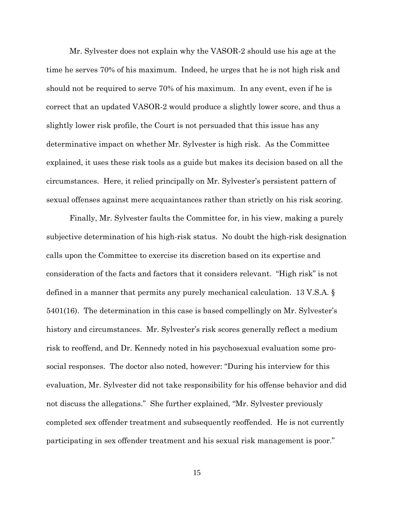Mr. Sylvester does not explain why the VASOR-2 should use his age at the time he serves 70% of his maximum. Indeed, he urges that he is not high risk and should not be required to serve 70% of his maximum. In any event, even if he is correct that an updated VASOR-2 would produce a slightly lower score, and thus a slightly lower risk profile, the Court is not persuaded that this issue has any determinative impact on whether Mr. Sylvester is high risk. As the Committee explained, it uses these risk tools as a guide but makes its decision based on all the circumstances. Here, it relied principally on Mr. Sylvester's persistent pattern of sexual offenses against mere acquaintances rather than strictly on his risk scoring.

Finally, Mr. Sylvester faults the Committee for, in his view, making a purely subjective determination of his high-risk status. No doubt the high-risk designation calls upon the Committee to exercise its discretion based on its expertise and consideration of the facts and factors that it considers relevant. "High risk" is not defined in a manner that permits any purely mechanical calculation. 13 V.S.A. § 5401(16). The determination in this case is based compellingly on Mr. Sylvester's history and circumstances. Mr. Sylvester's risk scores generally reflect a medium risk to reoffend, and Dr. Kennedy noted in his psychosexual evaluation some prosocial responses. The doctor also noted, however: "During his interview for this evaluation, Mr. Sylvester did not take responsibility for his offense behavior and did not discuss the allegations." She further explained, "Mr. Sylvester previously completed sex offender treatment and subsequently reoffended. He is not currently participating in sex offender treatment and his sexual risk management is poor."